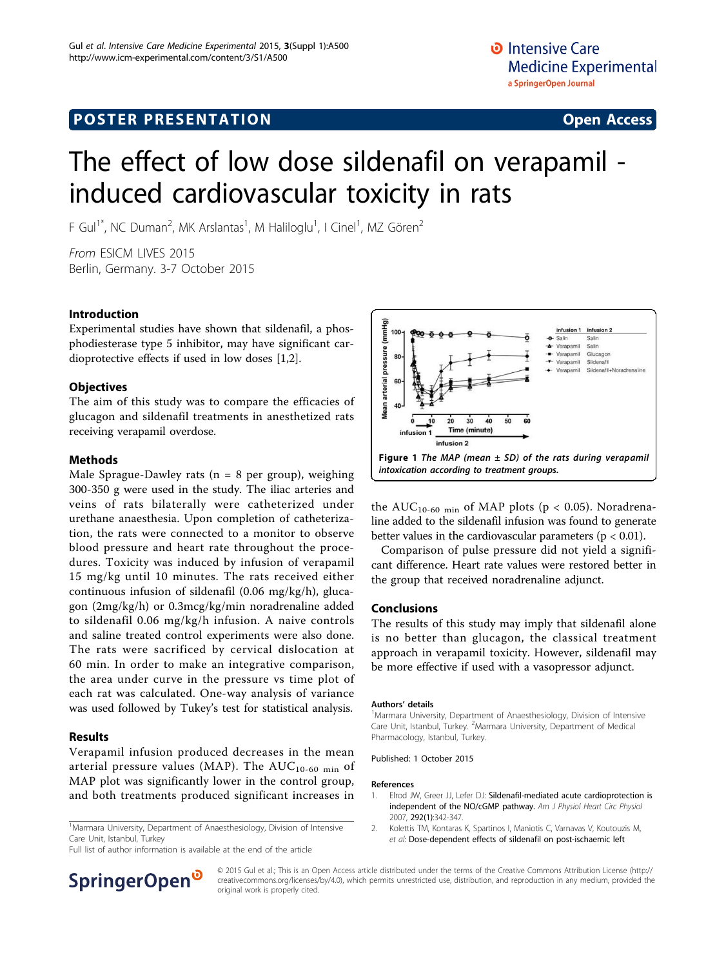# The effect of low dose sildenafil on verapamil induced cardiovascular toxicity in rats

F Gul<sup>1\*</sup>, NC Duman<sup>2</sup>, MK Arslantas<sup>1</sup>, M Haliloglu<sup>1</sup>, I Cinel<sup>1</sup>, MZ Gören<sup>2</sup>

From ESICM LIVES 2015 Berlin, Germany. 3-7 October 2015

### Introduction

Experimental studies have shown that sildenafil, a phosphodiesterase type 5 inhibitor, may have significant cardioprotective effects if used in low doses [1,2].

### **Objectives**

The aim of this study was to compare the efficacies of glucagon and sildenafil treatments in anesthetized rats receiving verapamil overdose.

### Methods

Male Sprague-Dawley rats ( $n = 8$  per group), weighing 300-350 g were used in the study. The iliac arteries and veins of rats bilaterally were catheterized under urethane anaesthesia. Upon completion of catheterization, the rats were connected to a monitor to observe blood pressure and heart rate throughout the procedures. Toxicity was induced by infusion of verapamil 15 mg/kg until 10 minutes. The rats received either continuous infusion of sildenafil (0.06 mg/kg/h), glucagon (2mg/kg/h) or 0.3mcg/kg/min noradrenaline added to sildenafil 0.06 mg/kg/h infusion. A naive controls and saline treated control experiments were also done. The rats were sacrificed by cervical dislocation at 60 min. In order to make an integrative comparison, the area under curve in the pressure vs time plot of each rat was calculated. One-way analysis of variance was used followed by Tukey's test for statistical analysis.

## Results

Verapamil infusion produced decreases in the mean arterial pressure values (MAP). The  $AUC_{10-60 \text{ min}}$  of MAP plot was significantly lower in the control group, and both treatments produced significant increases in

<sup>1</sup>Marmara University, Department of Anaesthesiology, Division of Intensive Care Unit, Istanbul, Turkey

Full list of author information is available at the end of the article



© 2015 Gul et al.; This is an Open Access article distributed under the terms of the Creative Commons Attribution License ([http://](http://creativecommons.org/licenses/by/4.0) [creativecommons.org/licenses/by/4.0](http://creativecommons.org/licenses/by/4.0)), which permits unrestricted use, distribution, and reproduction in any medium, provided the original work is properly cited.



the  $AUC_{10-60 min}$  of MAP plots (p < 0.05). Noradrenaline added to the sildenafil infusion was found to generate better values in the cardiovascular parameters ( $p < 0.01$ ).

Comparison of pulse pressure did not yield a significant difference. Heart rate values were restored better in the group that received noradrenaline adjunct.

#### Conclusions

The results of this study may imply that sildenafil alone is no better than glucagon, the classical treatment approach in verapamil toxicity. However, sildenafil may be more effective if used with a vasopressor adjunct.

#### Authors' details <sup>1</sup>

<sup>1</sup>Marmara University, Department of Anaesthesiology, Division of Intensive Care Unit, Istanbul, Turkey. <sup>2</sup>Marmara University, Department of Medical Pharmacology, Istanbul, Turkey.

Published: 1 October 2015

#### References

- 1. Elrod JW, Greer JJ, Lefer DJ: Sildenafil-mediated acute cardioprotection is independent of the NO/cGMP pathway. Am J Physiol Heart Circ Physiol 2007, 292(1):342-347.
- 2. Kolettis TM, Kontaras K, Spartinos I, Maniotis C, Varnavas V, Koutouzis M, et al: [Dose-dependent effects of sildenafil on post-ischaemic left](http://www.ncbi.nlm.nih.gov/pubmed/20487218?dopt=Abstract)